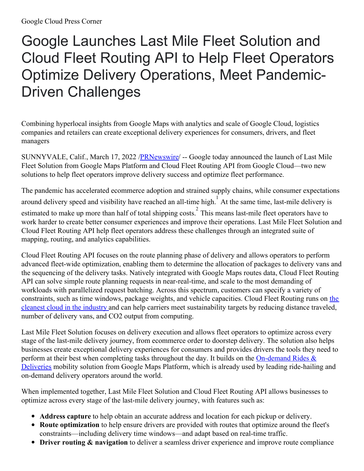## Google Launches Last Mile Fleet Solution and Cloud Fleet Routing API to Help Fleet Operators Optimize Delivery Operations, Meet Pandemic-Driven Challenges

Combining hyperlocal insights from Google Maps with analytics and scale of Google Cloud, logistics companies and retailers can create exceptional delivery experiences for consumers, drivers, and fleet managers

SUNNYVALE, Calif., March 17, 2022 [/PRNewswire](http://www.prnewswire.com/)/ -- Google today announced the launch of Last Mile Fleet Solution from Google Maps Platform and Cloud Fleet Routing API from Google Cloud—two new solutions to help fleet operators improve delivery success and optimize fleet performance.

The pandemic has accelerated ecommerce adoption and strained supply chains, while consumer expectations around delivery speed and visibility have reached an all-time high. 1 At the same time, last-mile delivery is estimated to make up more than half of total shipping costs.<sup>2</sup> This means last-mile fleet operators have to work harder to create better consumer experiences and improve their operations. Last Mile Fleet Solution and Cloud Fleet Routing API help fleet operators address these challenges through an integrated suite of mapping, routing, and analytics capabilities.

Cloud Fleet Routing API focuses on the route planning phase of delivery and allows operators to perform advanced fleet-wide optimization, enabling them to determine the allocation of packages to delivery vans and the sequencing of the delivery tasks. Natively integrated with Google Maps routes data, Cloud Fleet Routing API can solve simple route planning requests in near-real-time, and scale to the most demanding of workloads with parallelized request batching. Across this spectrum, customers can specify a variety of constraints, such as time windows, package weights, and vehicle capacities. Cloud Fleet Routing runs on the cleanest cloud in the industr[y](https://c212.net/c/link/?t=0&l=en&o=3475783-1&h=3318002563&u=https%3A%2F%2Fwww.google.com%2Fabout%2Fdatacenters%2Fcleanenergy%2F&a=%C2%A0) and can help carriers meet [sustainability](https://c212.net/c/link/?t=0&l=en&o=3475783-1&h=1538536259&u=https%3A%2F%2Fcloud.google.com%2Fblog%2Ftopics%2Fsustainability%2Fgoogle-achieves-four-consecutive-years-of-100-percent-renewable-energy&a=the+cleanest+cloud+in+the+industry) targets by reducing distance traveled, number of delivery vans, and CO2 output from computing.

Last Mile Fleet Solution focuses on delivery execution and allows fleet operators to optimize across every stage of the last-mile delivery journey, from ecommerce order to doorstep delivery. The solution also helps businesses create exceptional delivery experiences for consumers and provides drivers the tools they need to perform at their best when completing tasks throughout the day. It builds on the [On-demand](https://c212.net/c/link/?t=0&l=en&o=3475783-1&h=955233128&u=https%3A%2F%2Fcloud.google.com%2Fblog%2Fproducts%2Fmaps-platform%2Fannouncing-google-maps-platform-demand-rides-deliveries-solution&a=On-demand+Rides+%26+Deliveries) Rides  $\&$ Deliveries mobility solution from Google Maps Platform, which is already used by leading ride-hailing and on-demand delivery operators around the world.

When implemented together, Last Mile Fleet Solution and Cloud Fleet Routing API allows businesses to optimize across every stage of the last-mile delivery journey, with features such as:

- **Address capture** to help obtain an accurate address and location for each pickup or delivery.
- **Route optimization** to help ensure drivers are provided with routes that optimize around the fleet's constraints—including delivery time windows—and adapt based on real-time traffic.
- **Driver routing & navigation** to deliver a seamless driver experience and improve route compliance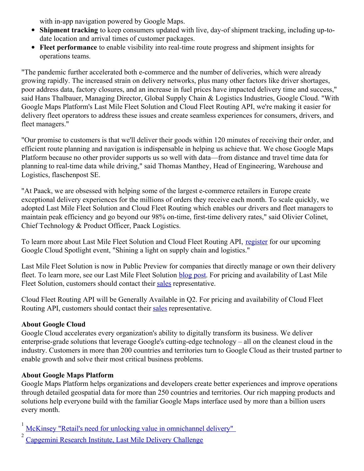with in-app navigation powered by Google Maps.

- **Shipment tracking** to keep consumers updated with live, day-of shipment tracking, including up-todate location and arrival times of customer packages.
- **Fleet performance** to enable visibility into real-time route progress and shipment insights for operations teams.

"The pandemic further accelerated both e-commerce and the number of deliveries, which were already growing rapidly. The increased strain on delivery networks, plus many other factors like driver shortages, poor address data, factory closures, and an increase in fuel prices have impacted delivery time and success," said Hans Thalbauer, Managing Director, Global Supply Chain & Logistics Industries, Google Cloud. "With Google Maps Platform's Last Mile Fleet Solution and Cloud Fleet Routing API, we're making it easier for delivery fleet operators to address these issues and create seamless experiences for consumers, drivers, and fleet managers."

"Our promise to customers is that we'll deliver their goods within 120 minutes of receiving their order, and efficient route planning and navigation is indispensable in helping us achieve that. We chose Google Maps Platform because no other provider supports us so well with data—from distance and travel time data for planning to real-time data while driving," said Thomas Manthey, Head of Engineering, Warehouse and Logistics, flaschenpost SE.

"At Paack, we are obsessed with helping some of the largest e-commerce retailers in Europe create exceptional delivery experiences for the millions of orders they receive each month. To scale quickly, we adopted Last Mile Fleet Solution and Cloud Fleet Routing which enables our drivers and fleet managers to maintain peak efficiency and go beyond our 98% on-time, first-time delivery rates," said Olivier Colinet, Chief Technology & Product Officer, Paack Logistics.

To learn more about Last Mile Fleet Solution and Cloud Fleet Routing API, [register](https://c212.net/c/link/?t=0&l=en&o=3475783-1&h=2563420820&u=https%3A%2F%2Fcloudonair.withgoogle.com%2Fevents%2Fsupply-chain-logistics-spotlight&a=register) for our upcoming Google Cloud Spotlight event, "Shining a light on supply chain and logistics."

Last Mile Fleet Solution is now in Public Preview for companies that directly manage or own their delivery fleet. To learn more, see our Last Mile Fleet Solution [blog](https://c212.net/c/link/?t=0&l=en&o=3475783-1&h=184041776&u=https%3A%2F%2Fcloud.google.com%2Fblog%2Fproducts%2Fmaps-platform%2Fintroducing-last-mile-fleet-solution-maximize-what-your-fleet-can-do-start-finish&a=blog+post) post. For pricing and availability of Last Mile Fleet Solution, customers should contact their [sales](https://c212.net/c/link/?t=0&l=en&o=3475783-1&h=3667509283&u=https%3A%2F%2Fmapsplatform.withgoogle.com%2Fmobility-interest-form%2Fhome.html%3Futm_source%3Dgcp_press_release%26utm_medium%3Dwebsite%26utm_campaign%3DFY22-Q1-global-bypass-other-cs-GMP-mobility-interest-form%26utm_content%3Dgcp_press_release&a=sales) representative.

Cloud Fleet Routing API will be Generally Available in Q2. For pricing and availability of Cloud Fleet Routing API, customers should contact their [sales](https://c212.net/c/link/?t=0&l=en&o=3475783-1&h=2573753339&u=https%3A%2F%2Fcloud.google.com%2Fcontact%3Fdirect%3Dtrue&a=sales) representative.

## **About Google Cloud**

Google Cloud accelerates every organization's ability to digitally transform its business. We deliver enterprise-grade solutions that leverage Google's cutting-edge technology – all on the cleanest cloud in the industry. Customers in more than 200 countries and territories turn to Google Cloud as their trusted partner to enable growth and solve their most critical business problems.

## **About Google Maps Platform**

Google Maps Platform helps organizations and developers create better experiences and improve operations through detailed geospatial data for more than 250 countries and territories. Our rich mapping products and solutions help everyone build with the familiar Google Maps interface used by more than a billion users every month.

1 McKinsey "Retail's need for unlocking value in [omnichannel](https://c212.net/c/link/?t=0&l=en&o=3475783-1&h=1370906677&u=https%3A%2F%2Fwww.mckinsey.com%2Findustries%2Fretail%2Four-insights%2Fretails-need-for-speed-unlocking-value-in-omnichannel-delivery&a=McKinsey+%22Retail%27s+need+for+unlocking+value+in+omnichannel+delivery%22%C2%A0) delivery"

2 [Capgemini](https://c212.net/c/link/?t=0&l=en&o=3475783-1&h=938771313&u=https%3A%2F%2Fwww.capgemini.com%2Fwp-content%2Fuploads%2F2019%2F01%2FReport-Digital-%25E2%2580%2593-Last-Mile-Delivery-Challenge1.pdf&a=Capgemini+Research+Institute%2C+Last+Mile+Delivery+Challenge) Research Institute, Last Mile Delivery Challenge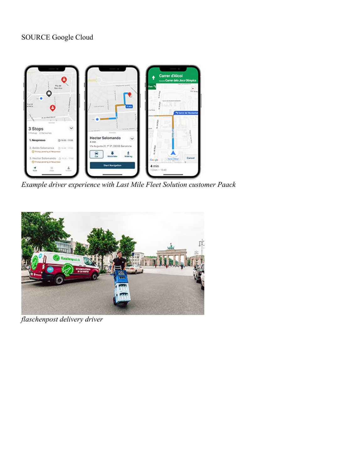

*Example driver experience with Last Mile Fleet Solution customer Paack*



*flaschenpost delivery driver*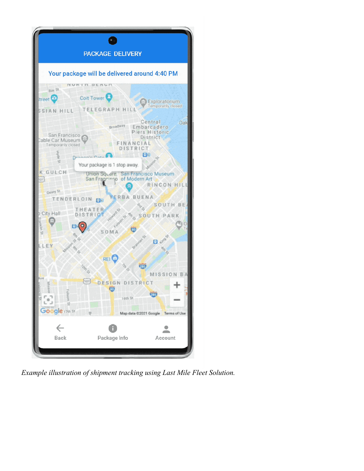

*Example illustration of shipment tracking using Last Mile Fleet Solution.*